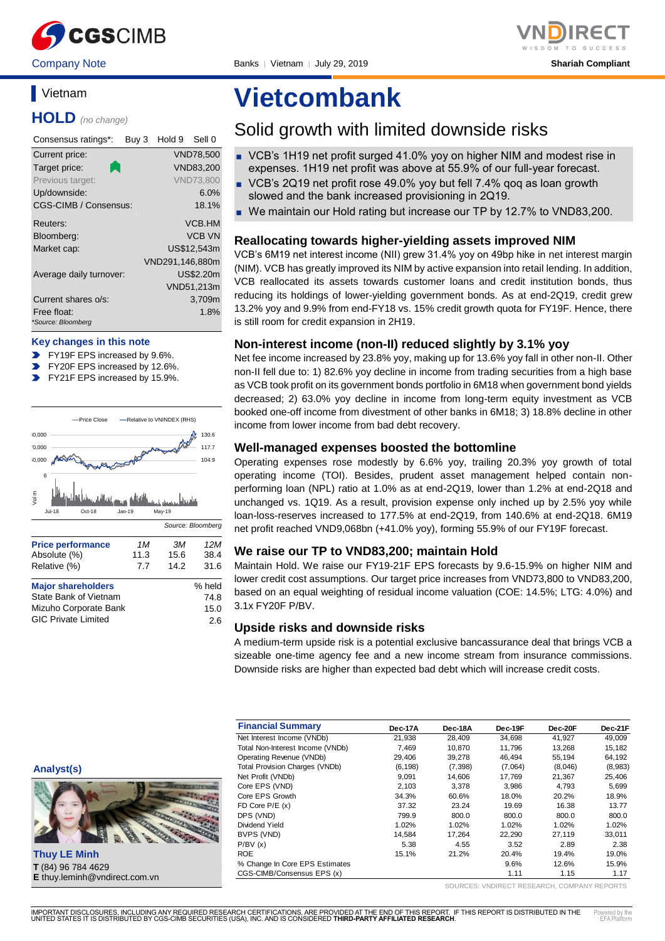

Company Note Banks │ Vietnam │ July 29, 2019 **Shariah Compliant**

### **Vietnam**

**HOLD** *(no change)*

| Consensus ratings*:               | Buy 3 | Hold 9          | Sell 0           |
|-----------------------------------|-------|-----------------|------------------|
| Current price:                    |       |                 | <b>VND78,500</b> |
| Target price:                     |       |                 | VND83,200        |
| Previous target:                  |       |                 | <b>VND73.800</b> |
| Up/downside:                      |       |                 | 6.0%             |
| CGS-CIMB / Consensus:             |       |                 | 18.1%            |
| Reuters:                          |       |                 | <b>VCB.HM</b>    |
| Bloomberg:                        |       |                 | <b>VCB VN</b>    |
| Market cap:                       |       |                 | US\$12.543m      |
|                                   |       | VND291,146,880m |                  |
| Average daily turnover:           |       |                 | US\$2.20m        |
|                                   |       |                 | VND51,213m       |
| Current shares o/s:               |       |                 | 3,709m           |
| Free float:<br>*Source: Bloomberg |       |                 | 1.8%             |

#### **Key changes in this note**

- FY19F EPS increased by 9.6%.
- FY20F EPS increased by 12.6%.
- FY21F EPS increased by 15.9%.



| <b>Price performance</b>   | 1M   | ЗM   | 12M    |
|----------------------------|------|------|--------|
| Absolute (%)               | 11.3 | 15.6 | 38.4   |
| Relative (%)               | 7.7  | 14.2 | 31.6   |
| <b>Major shareholders</b>  |      |      | % held |
| State Bank of Vietnam      |      |      | 74.8   |
| Mizuho Corporate Bank      |      |      | 15.0   |
| <b>GIC Private Limited</b> |      |      | 2.6    |

# **Vietcombank**

### Solid growth with limited downside risks

- VCB's 1H19 net profit surged 41.0% yoy on higher NIM and modest rise in expenses. 1H19 net profit was above at 55.9% of our full-year forecast.
- VCB's 2Q19 net profit rose 49.0% yoy but fell 7.4% gog as loan growth slowed and the bank increased provisioning in 2Q19.
- We maintain our Hold rating but increase our TP by 12.7% to VND83,200.

#### **Reallocating towards higher-yielding assets improved NIM**

VCB's 6M19 net interest income (NII) grew 31.4% yoy on 49bp hike in net interest margin (NIM). VCB has greatly improved its NIM by active expansion into retail lending. In addition, VCB reallocated its assets towards customer loans and credit institution bonds, thus reducing its holdings of lower-yielding government bonds. As at end-2Q19, credit grew 13.2% yoy and 9.9% from end-FY18 vs. 15% credit growth quota for FY19F. Hence, there is still room for credit expansion in 2H19.

#### **Non-interest income (non-II) reduced slightly by 3.1% yoy**

Net fee income increased by 23.8% yoy, making up for 13.6% yoy fall in other non-II. Other non-II fell due to: 1) 82.6% yoy decline in income from trading securities from a high base as VCB took profit on its government bonds portfolio in 6M18 when government bond yields decreased; 2) 63.0% yoy decline in income from long-term equity investment as VCB booked one-off income from divestment of other banks in 6M18; 3) 18.8% decline in other income from lower income from bad debt recovery.

#### **Well-managed expenses boosted the bottomline**

Operating expenses rose modestly by 6.6% yoy, trailing 20.3% yoy growth of total operating income (TOI). Besides, prudent asset management helped contain nonperforming loan (NPL) ratio at 1.0% as at end-2Q19, lower than 1.2% at end-2Q18 and unchanged vs. 1Q19. As a result, provision expense only inched up by 2.5% yoy while loan-loss-reserves increased to 177.5% at end-2Q19, from 140.6% at end-2Q18. 6M19 net profit reached VND9,068bn (+41.0% yoy), forming 55.9% of our FY19F forecast.

#### **We raise our TP to VND83,200; maintain Hold**

Maintain Hold. We raise our FY19-21F EPS forecasts by 9.6-15.9% on higher NIM and lower credit cost assumptions. Our target price increases from VND73,800 to VND83,200, based on an equal weighting of residual income valuation (COE: 14.5%; LTG: 4.0%) and 3.1x FY20F P/BV.

#### **Upside risks and downside risks**

A medium-term upside risk is a potential exclusive bancassurance deal that brings VCB a sizeable one-time agency fee and a new income stream from insurance commissions. Downside risks are higher than expected bad debt which will increase credit costs.

| <b>Financial Summary</b>              | Dec-17A  | Dec-18A  | Dec-19F | Dec-20F | Dec-21F |
|---------------------------------------|----------|----------|---------|---------|---------|
| Net Interest Income (VNDb)            | 21.938   | 28.409   | 34.698  | 41.927  | 49.009  |
| Total Non-Interest Income (VNDb)      | 7.469    | 10.870   | 11.796  | 13.268  | 15,182  |
| Operating Revenue (VNDb)              | 29.406   | 39.278   | 46.494  | 55.194  | 64,192  |
| <b>Total Provision Charges (VNDb)</b> | (6, 198) | (7, 398) | (7,064) | (8,046) | (8,983) |
| Net Profit (VNDb)                     | 9,091    | 14.606   | 17.769  | 21.367  | 25,406  |
| Core EPS (VND)                        | 2,103    | 3.378    | 3.986   | 4.793   | 5,699   |
| Core EPS Growth                       | 34.3%    | 60.6%    | 18.0%   | 20.2%   | 18.9%   |
| FD Core $P/E(x)$                      | 37.32    | 23.24    | 19.69   | 16.38   | 13.77   |
| DPS (VND)                             | 799.9    | 800.0    | 800.0   | 800.0   | 800.0   |
| Dividend Yield                        | 1.02%    | 1.02%    | 1.02%   | 1.02%   | 1.02%   |
| BVPS (VND)                            | 14.584   | 17.264   | 22.290  | 27.119  | 33.011  |
| P/BV(x)                               | 5.38     | 4.55     | 3.52    | 2.89    | 2.38    |
| <b>ROE</b>                            | 15.1%    | 21.2%    | 20.4%   | 19.4%   | 19.0%   |
| % Change In Core EPS Estimates        |          |          | 9.6%    | 12.6%   | 15.9%   |
| CGS-CIMB/Consensus EPS (x)            |          |          | 1.11    | 1.15    | 1.17    |

**Analyst(s)**



**Thuy LE Minh T** (84) 96 784 4629 **E** thuy.leminh@vndirect.com.vn

SOURCES: VNDIRECT RESEARCH, COMPANY REPORTS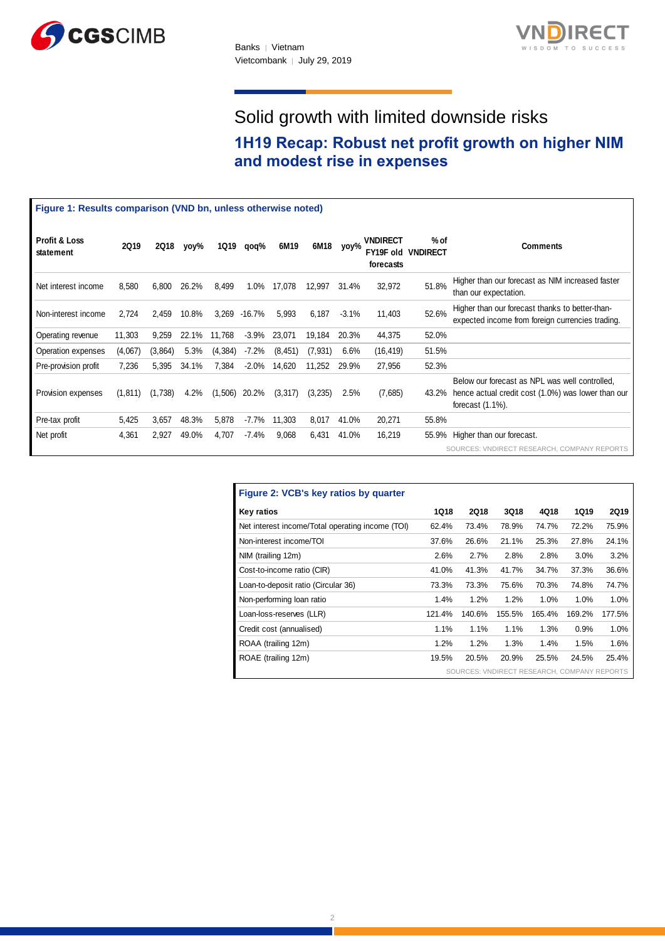



# Solid growth with limited downside risks

### **1H19 Recap: Robust net profit growth on higher NIM and modest rise in expenses**

|                                       | Figure 1: Results comparison (VND bn, unless otherwise noted) |             |       |          |           |          |          |          |                              |                                   |                                                                                                                              |
|---------------------------------------|---------------------------------------------------------------|-------------|-------|----------|-----------|----------|----------|----------|------------------------------|-----------------------------------|------------------------------------------------------------------------------------------------------------------------------|
| <b>Profit &amp; Loss</b><br>statement | <b>2Q19</b>                                                   | <b>2Q18</b> | yoy%  | 1Q19     | qoq%      | 6M19     | 6M18     | yoy%     | <b>VNDIRECT</b><br>forecasts | % of<br><b>FY19F old VNDIRECT</b> | <b>Comments</b>                                                                                                              |
| Net interest income                   | 8,580                                                         | 6,800       | 26.2% | 8,499    | 1.0%      | 17,078   | 12,997   | 31.4%    | 32,972                       | 51.8%                             | Higher than our forecast as NIM increased faster<br>than our expectation.                                                    |
| Non-interest income                   | 2,724                                                         | 2,459       | 10.8% | 3,269    | $-16.7\%$ | 5,993    | 6.187    | $-3.1\%$ | 11,403                       | 52.6%                             | Higher than our forecast thanks to better-than-<br>expected income from foreign currencies trading.                          |
| Operating revenue                     | 11,303                                                        | 9,259       | 22.1% | 11,768   | $-3.9%$   | 23,071   | 19,184   | 20.3%    | 44,375                       | 52.0%                             |                                                                                                                              |
| Operation expenses                    | (4,067)                                                       | (3,864)     | 5.3%  | (4, 384) | $-7.2%$   | (8, 451) | (7, 931) | 6.6%     | (16, 419)                    | 51.5%                             |                                                                                                                              |
| Pre-provision profit                  | 7,236                                                         | 5,395       | 34.1% | 7,384    | $-2.0\%$  | 14,620   | 11,252   | 29.9%    | 27,956                       | 52.3%                             |                                                                                                                              |
| Provision expenses                    | (1, 811)                                                      | (1,738)     | 4.2%  | (1,506)  | 20.2%     | (3,317)  | (3,235)  | 2.5%     | (7,685)                      | 43.2%                             | Below our forecast as NPL was well controlled,<br>hence actual credit cost (1.0%) was lower than our<br>forecast $(1.1\%)$ . |
| Pre-tax profit                        | 5,425                                                         | 3,657       | 48.3% | 5,878    | $-7.7\%$  | 11,303   | 8,017    | 41.0%    | 20,271                       | 55.8%                             |                                                                                                                              |
| Net profit                            | 4,361                                                         | 2,927       | 49.0% | 4,707    | $-7.4%$   | 9,068    | 6,431    | 41.0%    | 16,219                       | 55.9%                             | Higher than our forecast.                                                                                                    |
|                                       |                                                               |             |       |          |           |          |          |          |                              |                                   | SOURCES: VNDIRECT RESEARCH, COMPANY REPORTS                                                                                  |

| Figure 2: VCB's key ratios by quarter            |             |                                             |        |        |        |             |
|--------------------------------------------------|-------------|---------------------------------------------|--------|--------|--------|-------------|
| <b>Key ratios</b>                                | <b>1Q18</b> | 2Q18                                        | 3Q18   | 4Q18   | 1Q19   | <b>2Q19</b> |
| Net interest income/Total operating income (TOI) | 62.4%       | 73.4%                                       | 78.9%  | 74.7%  | 72.2%  | 75.9%       |
| Non-interest income/TOI                          | 37.6%       | 26.6%                                       | 21.1%  | 25.3%  | 27.8%  | 24.1%       |
| NIM (trailing 12m)                               | 2.6%        | 2.7%                                        | 2.8%   | 2.8%   | 3.0%   | 3.2%        |
| Cost-to-income ratio (CIR)                       | 41.0%       | 41.3%                                       | 41.7%  | 34.7%  | 37.3%  | 36.6%       |
| Loan-to-deposit ratio (Circular 36)              | 73.3%       | 73.3%                                       | 75.6%  | 70.3%  | 74.8%  | 74.7%       |
| Non-performing loan ratio                        | 1.4%        | 1.2%                                        | 1.2%   | 1.0%   | 1.0%   | 1.0%        |
| Loan-loss-reserves (LLR)                         | 121.4%      | 140.6%                                      | 155.5% | 165.4% | 169.2% | 177.5%      |
| Credit cost (annualised)                         | 1.1%        | 1.1%                                        | 1.1%   | 1.3%   | 0.9%   | 1.0%        |
| ROAA (trailing 12m)                              | 1.2%        | 1.2%                                        | 1.3%   | 1.4%   | 1.5%   | 1.6%        |
| ROAE (trailing 12m)                              | 19.5%       | 20.5%                                       | 20.9%  | 25.5%  | 24.5%  | 25.4%       |
|                                                  |             | SOURCES: VNDIRECT RESEARCH, COMPANY REPORTS |        |        |        |             |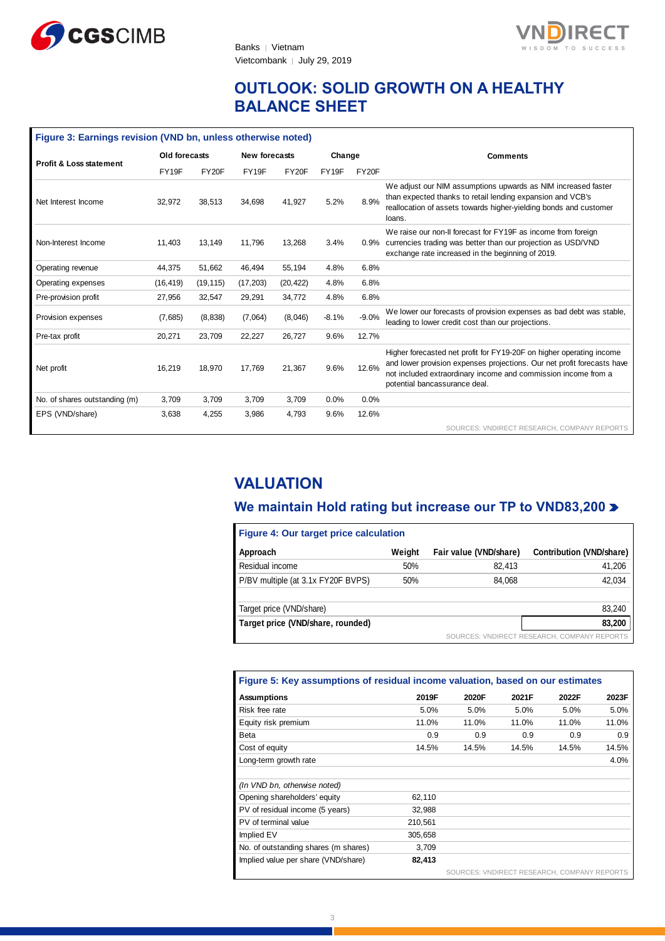



### **OUTLOOK: SOLID GROWTH ON A HEALTHY BALANCE SHEET**

| Figure 3: Earnings revision (VND bn, unless otherwise noted) |               |           |           |               |         |         |                                                                                                                                                                                                                                                    |  |  |
|--------------------------------------------------------------|---------------|-----------|-----------|---------------|---------|---------|----------------------------------------------------------------------------------------------------------------------------------------------------------------------------------------------------------------------------------------------------|--|--|
| <b>Profit &amp; Loss statement</b>                           | Old forecasts |           |           | New forecasts |         | Change  | <b>Comments</b>                                                                                                                                                                                                                                    |  |  |
|                                                              | FY19F         | FY20F     | FY19F     | FY20F         | FY19F   | FY20F   |                                                                                                                                                                                                                                                    |  |  |
| Net Interest Income                                          | 32,972        | 38,513    | 34,698    | 41,927        | 5.2%    | 8.9%    | We adjust our NIM assumptions upwards as NIM increased faster<br>than expected thanks to retail lending expansion and VCB's<br>reallocation of assets towards higher-yielding bonds and customer<br>loans.                                         |  |  |
| Non-Interest Income                                          | 11,403        | 13.149    | 11.796    | 13,268        | 3.4%    |         | We raise our non-II forecast for FY19F as income from foreign<br>0.9% currencies trading was better than our projection as USD/VND<br>exchange rate increased in the beginning of 2019.                                                            |  |  |
| Operating revenue                                            | 44,375        | 51,662    | 46,494    | 55,194        | 4.8%    | 6.8%    |                                                                                                                                                                                                                                                    |  |  |
| Operating expenses                                           | (16, 419)     | (19, 115) | (17, 203) | (20, 422)     | 4.8%    | 6.8%    |                                                                                                                                                                                                                                                    |  |  |
| Pre-provision profit                                         | 27,956        | 32,547    | 29,291    | 34,772        | 4.8%    | 6.8%    |                                                                                                                                                                                                                                                    |  |  |
| Provision expenses                                           | (7,685)       | (8, 838)  | (7,064)   | (8,046)       | $-8.1%$ | $-9.0%$ | We lower our forecasts of provision expenses as bad debt was stable,<br>leading to lower credit cost than our projections.                                                                                                                         |  |  |
| Pre-tax profit                                               | 20,271        | 23,709    | 22,227    | 26,727        | 9.6%    | 12.7%   |                                                                                                                                                                                                                                                    |  |  |
| Net profit                                                   | 16,219        | 18,970    | 17,769    | 21,367        | 9.6%    | 12.6%   | Higher forecasted net profit for FY19-20F on higher operating income<br>and lower provision expenses projections. Our net profit forecasts have<br>not included extraordinary income and commission income from a<br>potential bancassurance deal. |  |  |
| No. of shares outstanding (m)                                | 3,709         | 3,709     | 3.709     | 3.709         | 0.0%    | 0.0%    |                                                                                                                                                                                                                                                    |  |  |
| EPS (VND/share)                                              | 3,638         | 4,255     | 3,986     | 4.793         | 9.6%    | 12.6%   |                                                                                                                                                                                                                                                    |  |  |
|                                                              |               |           |           |               |         |         | SOURCES: VNDIRECT RESEARCH, COMPANY REPORTS                                                                                                                                                                                                        |  |  |

## **VALUATION**

### **We maintain Hold rating but increase our TP to VND83,200**

| Figure 4: Our target price calculation |        |                        |                                             |  |  |  |  |  |  |
|----------------------------------------|--------|------------------------|---------------------------------------------|--|--|--|--|--|--|
| Approach                               | Weight | Fair value (VND/share) | <b>Contribution (VND/share)</b>             |  |  |  |  |  |  |
| Residual income                        | 50%    | 82.413                 | 41,206                                      |  |  |  |  |  |  |
| P/BV multiple (at 3.1x FY20F BVPS)     | 50%    | 84.068                 | 42,034                                      |  |  |  |  |  |  |
| Target price (VND/share)               |        |                        | 83,240                                      |  |  |  |  |  |  |
| Target price (VND/share, rounded)      |        |                        | 83,200                                      |  |  |  |  |  |  |
|                                        |        |                        | SOURCES: VNDIRECT RESEARCH, COMPANY REPORTS |  |  |  |  |  |  |

| Figure 5: Key assumptions of residual income valuation, based on our estimates |         |       |                                             |       |       |  |  |  |  |
|--------------------------------------------------------------------------------|---------|-------|---------------------------------------------|-------|-------|--|--|--|--|
| <b>Assumptions</b>                                                             | 2019F   | 2020F | 2021F                                       | 2022F | 2023F |  |  |  |  |
| Risk free rate                                                                 | 5.0%    | 5.0%  | 5.0%                                        | 5.0%  | 5.0%  |  |  |  |  |
| Equity risk premium                                                            | 11.0%   | 11.0% | 11.0%                                       | 11.0% | 11.0% |  |  |  |  |
| Beta                                                                           | 0.9     | 0.9   | 0.9                                         | 0.9   | 0.9   |  |  |  |  |
| Cost of equity                                                                 | 14.5%   | 14.5% | 14.5%                                       | 14.5% | 14.5% |  |  |  |  |
| Long-term growth rate                                                          |         |       |                                             |       | 4.0%  |  |  |  |  |
|                                                                                |         |       |                                             |       |       |  |  |  |  |
| (In VND bn, otherwise noted)                                                   |         |       |                                             |       |       |  |  |  |  |
| Opening shareholders' equity                                                   | 62,110  |       |                                             |       |       |  |  |  |  |
| PV of residual income (5 years)                                                | 32,988  |       |                                             |       |       |  |  |  |  |
| PV of terminal value                                                           | 210,561 |       |                                             |       |       |  |  |  |  |
| Implied EV                                                                     | 305,658 |       |                                             |       |       |  |  |  |  |
| No. of outstanding shares (m shares)                                           | 3,709   |       |                                             |       |       |  |  |  |  |
| Implied value per share (VND/share)                                            | 82,413  |       |                                             |       |       |  |  |  |  |
|                                                                                |         |       | SOURCES: VNDIRECT RESEARCH, COMPANY REPORTS |       |       |  |  |  |  |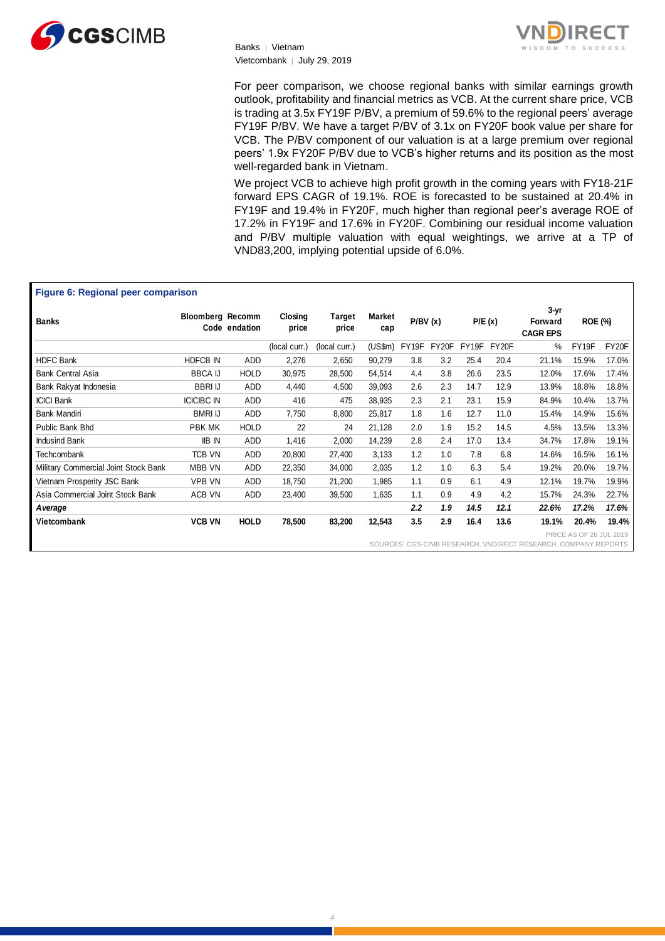

Banks │ Vietnam Vietcombank | July 29, 2019



For peer comparison, we choose regional banks with similar earnings growth outlook, profitability and financial metrics as VCB. At the current share price, VCB is trading at 3.5x FY19F P/BV, a premium of 59.6% to the regional peers' average FY19F P/BV. We have a target P/BV of 3.1x on FY20F book value per share for VCB. The P/BV component of our valuation is at a large premium over regional peers' 1.9x FY20F P/BV due to VCB's higher returns and its position as the most well-regarded bank in Vietnam.

We project VCB to achieve high profit growth in the coming years with FY18-21F forward EPS CAGR of 19.1%. ROE is forecasted to be sustained at 20.4% in FY19F and 19.4% in FY20F, much higher than regional peer's average ROE of 17.2% in FY19F and 17.6% in FY20F. Combining our residual income valuation and P/BV multiple valuation with equal weightings, we arrive at a TP of VND83,200, implying potential upside of 6.0%.

#### **Figure 6: Regional peer comparison**

| <b>Banks</b>                         | <b>Bloomberg Recomm</b>                                        | Code endation | Closing<br>price | Target<br>price | <b>Market</b><br>cap | P/BV(x) |       | P/E(x) |       | $3-yr$<br>Forward<br><b>CAGR EPS</b> | <b>ROE (%)</b>          |       |
|--------------------------------------|----------------------------------------------------------------|---------------|------------------|-----------------|----------------------|---------|-------|--------|-------|--------------------------------------|-------------------------|-------|
|                                      |                                                                |               | (local curr.)    | (local curr.)   | $(US\$ fm $)$        | FY19F   | FY20F | FY19F  | FY20F | %                                    | FY19F                   | FY20F |
| <b>HDFC Bank</b>                     | HDFCB IN                                                       | ADD           | 2,276            | 2,650           | 90,279               | 3.8     | 3.2   | 25.4   | 20.4  | 21.1%                                | 15.9%                   | 17.0% |
| <b>Bank Central Asia</b>             | <b>BBCA IJ</b>                                                 | <b>HOLD</b>   | 30,975           | 28,500          | 54,514               | 4.4     | 3.8   | 26.6   | 23.5  | 12.0%                                | 17.6%                   | 17.4% |
| Bank Rakyat Indonesia                | <b>BBRIU</b>                                                   | ADD           | 4,440            | 4,500           | 39,093               | 2.6     | 2.3   | 14.7   | 12.9  | 13.9%                                | 18.8%                   | 18.8% |
| <b>ICICI Bank</b>                    | <b>ICICIBC IN</b>                                              | ADD           | 416              | 475             | 38,935               | 2.3     | 2.1   | 23.1   | 15.9  | 84.9%                                | 10.4%                   | 13.7% |
| Bank Mandiri                         | <b>BMRI IJ</b>                                                 | ADD           | 7,750            | 8,800           | 25,817               | 1.8     | 1.6   | 12.7   | 11.0  | 15.4%                                | 14.9%                   | 15.6% |
| Public Bank Bhd                      | PBK MK                                                         | <b>HOLD</b>   | 22               | 24              | 21,128               | 2.0     | 1.9   | 15.2   | 14.5  | 4.5%                                 | 13.5%                   | 13.3% |
| <b>Indusind Bank</b>                 | <b>IIB IN</b>                                                  | ADD           | 1,416            | 2,000           | 14,239               | 2.8     | 2.4   | 17.0   | 13.4  | 34.7%                                | 17.8%                   | 19.1% |
| <b>Techcombank</b>                   | TCB VN                                                         | ADD           | 20,800           | 27,400          | 3,133                | 1.2     | 1.0   | 7.8    | 6.8   | 14.6%                                | 16.5%                   | 16.1% |
| Military Commercial Joint Stock Bank | <b>MBB VN</b>                                                  | ADD           | 22,350           | 34,000          | 2,035                | 1.2     | 1.0   | 6.3    | 5.4   | 19.2%                                | 20.0%                   | 19.7% |
| Vietnam Prosperity JSC Bank          | <b>VPB VN</b>                                                  | ADD           | 18,750           | 21,200          | 1,985                | 1.1     | 0.9   | 6.1    | 4.9   | 12.1%                                | 19.7%                   | 19.9% |
| Asia Commercial Joint Stock Bank     | ACB VN                                                         | ADD           | 23,400           | 39,500          | 1,635                | 1.1     | 0.9   | 4.9    | 4.2   | 15.7%                                | 24.3%                   | 22.7% |
| A verage                             |                                                                |               |                  |                 |                      | 2.2     | 1.9   | 14.5   | 12.1  | 22.6%                                | 17.2%                   | 17.6% |
| Vietcombank                          | <b>VCB VN</b>                                                  | <b>HOLD</b>   | 78,500           | 83,200          | 12,543               | 3.5     | 2.9   | 16.4   | 13.6  | 19.1%                                | 20.4%                   | 19.4% |
|                                      |                                                                |               |                  |                 |                      |         |       |        |       |                                      | PRICE AS OF 26 JUL 2019 |       |
|                                      | SOURCES: CGS-CIMB RESEARCH, VNDIRECT RESEARCH, COMPANY REPORTS |               |                  |                 |                      |         |       |        |       |                                      |                         |       |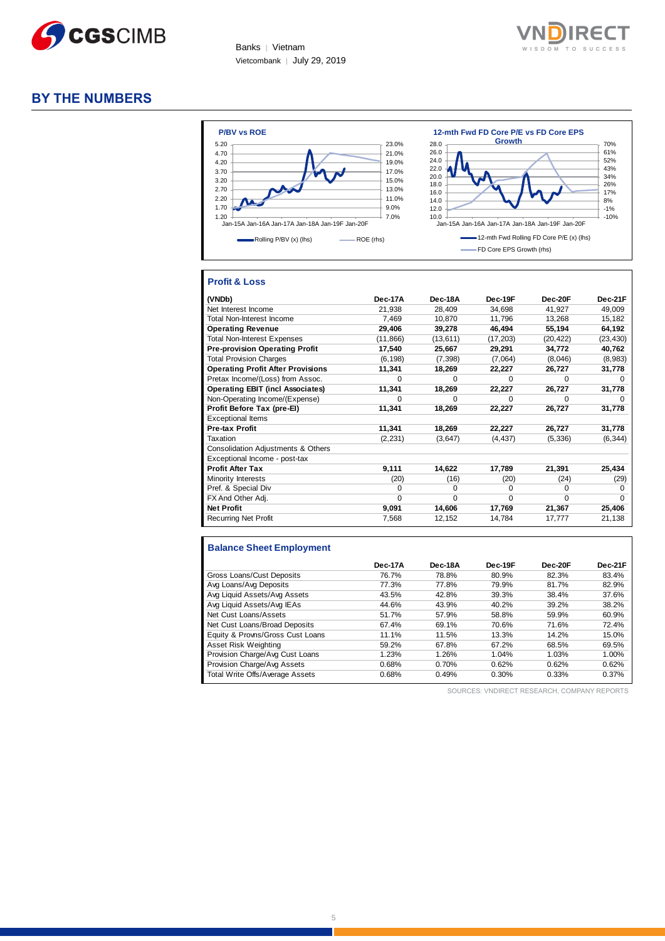

Banks | Vietnam Vietcombank │ July 29, 2019



### **BY THE NUMBERS**



#### **Profit & Loss**

| (VNDb)                                   | Dec-17A   | Dec-18A   | Dec-19F   | Dec-20F   | Dec-21F      |
|------------------------------------------|-----------|-----------|-----------|-----------|--------------|
| Net Interest Income                      | 21,938    | 28,409    | 34,698    | 41,927    | 49,009       |
| <b>Total Non-Interest Income</b>         | 7.469     | 10.870    | 11.796    | 13,268    | 15,182       |
| <b>Operating Revenue</b>                 | 29,406    | 39,278    | 46,494    | 55,194    | 64,192       |
| <b>Total Non-Interest Expenses</b>       | (11, 866) | (13, 611) | (17, 203) | (20, 422) | (23, 430)    |
| <b>Pre-provision Operating Profit</b>    | 17,540    | 25,667    | 29,291    | 34,772    | 40,762       |
| <b>Total Provision Charges</b>           | (6, 198)  | (7, 398)  | (7,064)   | (8,046)   | (8,983)      |
| <b>Operating Profit After Provisions</b> | 11,341    | 18,269    | 22,227    | 26,727    | 31,778       |
| Pretax Income/(Loss) from Assoc.         | $\Omega$  | $\Omega$  | 0         | $\Omega$  | $\Omega$     |
| <b>Operating EBIT (incl Associates)</b>  | 11,341    | 18,269    | 22,227    | 26,727    | 31,778       |
| Non-Operating Income/(Expense)           | 0         | $\Omega$  | U         | $\Omega$  | O            |
| Profit Before Tax (pre-EI)               | 11,341    | 18,269    | 22,227    | 26,727    | 31,778       |
| <b>Exceptional Items</b>                 |           |           |           |           |              |
| <b>Pre-tax Profit</b>                    | 11,341    | 18,269    | 22,227    | 26,727    | 31,778       |
| Taxation                                 | (2, 231)  | (3,647)   | (4, 437)  | (5, 336)  | (6, 344)     |
| Consolidation Adjustments & Others       |           |           |           |           |              |
| Exceptional Income - post-tax            |           |           |           |           |              |
| <b>Profit After Tax</b>                  | 9,111     | 14,622    | 17,789    | 21,391    | 25,434       |
| Minority Interests                       | (20)      | (16)      | (20)      | (24)      | (29)         |
| Pref. & Special Div                      | 0         | 0         | 0         | $\Omega$  | <sup>0</sup> |
| FX And Other Adj.                        | 0         | $\Omega$  | 0         | $\Omega$  | $\Omega$     |
| <b>Net Profit</b>                        | 9,091     | 14,606    | 17,769    | 21,367    | 25,406       |
| <b>Recurring Net Profit</b>              | 7,568     | 12,152    | 14,784    | 17,777    | 21,138       |

#### **Balance Sheet Employment**

|                                  | Dec-17A | Dec-18A | Dec-19F | Dec-20F | Dec-21F |
|----------------------------------|---------|---------|---------|---------|---------|
| Gross Loans/Cust Deposits        | 76.7%   | 78.8%   | 80.9%   | 82.3%   | 83.4%   |
| Avg Loans/Avg Deposits           | 77.3%   | 77.8%   | 79.9%   | 81.7%   | 82.9%   |
| Avg Liquid Assets/Avg Assets     | 43.5%   | 42.8%   | 39.3%   | 38.4%   | 37.6%   |
| Avg Liquid Assets/Avg IEAs       | 44.6%   | 43.9%   | 40.2%   | 39.2%   | 38.2%   |
| Net Cust Loans/Assets            | 51.7%   | 57.9%   | 58.8%   | 59.9%   | 60.9%   |
| Net Cust Loans/Broad Deposits    | 67.4%   | 69.1%   | 70.6%   | 71.6%   | 72.4%   |
| Equity & Provns/Gross Cust Loans | 11.1%   | 11.5%   | 13.3%   | 14.2%   | 15.0%   |
| Asset Risk Weighting             | 59.2%   | 67.8%   | 67.2%   | 68.5%   | 69.5%   |
| Provision Charge/Avg Cust Loans  | 1.23%   | 1.26%   | 1.04%   | 1.03%   | 1.00%   |
| Provision Charge/Avg Assets      | 0.68%   | 0.70%   | 0.62%   | 0.62%   | 0.62%   |
| Total Write Offs/Average Assets  | 0.68%   | 0.49%   | 0.30%   | 0.33%   | 0.37%   |

SOURCES: VNDIRECT RESEARCH, COMPANY REPORTS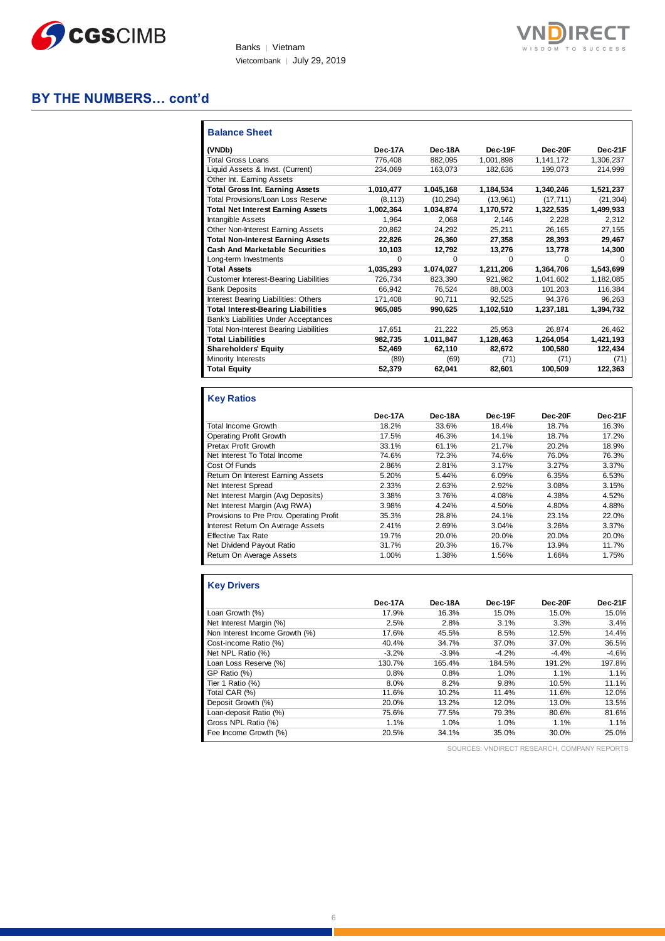

Banks | Vietnam Vietcombank │ July 29, 2019

### **BY THE NUMBERS… cont'd**

| <b>Balance Sheet</b>                          |           |           |           |           |           |
|-----------------------------------------------|-----------|-----------|-----------|-----------|-----------|
| (VNDb)                                        | Dec-17A   | Dec-18A   | Dec-19F   | Dec-20F   | Dec-21F   |
| <b>Total Gross Loans</b>                      | 776,408   | 882,095   | 1,001,898 | 1,141,172 | 1,306,237 |
| Liquid Assets & Invst. (Current)              | 234,069   | 163.073   | 182.636   | 199.073   | 214,999   |
| Other Int. Earning Assets                     |           |           |           |           |           |
| <b>Total Gross Int. Earning Assets</b>        | 1,010,477 | 1,045,168 | 1,184,534 | 1,340,246 | 1,521,237 |
| Total Provisions/Loan Loss Reserve            | (8, 113)  | (10, 294) | (13,961)  | (17, 711) | (21, 304) |
| <b>Total Net Interest Earning Assets</b>      | 1,002,364 | 1,034,874 | 1.170.572 | 1.322.535 | 1,499,933 |
| <b>Intangible Assets</b>                      | 1.964     | 2.068     | 2.146     | 2,228     | 2,312     |
| Other Non-Interest Earning Assets             | 20,862    | 24,292    | 25,211    | 26.165    | 27,155    |
| <b>Total Non-Interest Earning Assets</b>      | 22,826    | 26,360    | 27,358    | 28,393    | 29,467    |
| <b>Cash And Marketable Securities</b>         | 10,103    | 12,792    | 13,276    | 13,778    | 14,300    |
| Long-term Investments                         | $\Omega$  | 0         | O         | $\Omega$  | 0         |
| <b>Total Assets</b>                           | 1,035,293 | 1,074,027 | 1,211,206 | 1,364,706 | 1,543,699 |
| <b>Customer Interest-Bearing Liabilities</b>  | 726,734   | 823,390   | 921,982   | 1,041,602 | 1,182,085 |
| <b>Bank Deposits</b>                          | 66.942    | 76.524    | 88,003    | 101,203   | 116,384   |
| Interest Bearing Liabilities: Others          | 171,408   | 90,711    | 92,525    | 94,376    | 96,263    |
| <b>Total Interest-Bearing Liabilities</b>     | 965,085   | 990,625   | 1,102,510 | 1,237,181 | 1,394,732 |
| Bank's Liabilities Under Acceptances          |           |           |           |           |           |
| <b>Total Non-Interest Bearing Liabilities</b> | 17,651    | 21,222    | 25,953    | 26,874    | 26,462    |
| <b>Total Liabilities</b>                      | 982,735   | 1,011,847 | 1,128,463 | 1,264,054 | 1,421,193 |
| <b>Shareholders' Equity</b>                   | 52,469    | 62,110    | 82,672    | 100,580   | 122,434   |
| Minority Interests                            | (89)      | (69)      | (71)      | (71)      | (71)      |
| <b>Total Equity</b>                           | 52,379    | 62,041    | 82,601    | 100,509   | 122,363   |

### **Key Ratios**

|                                          | Dec-17A | Dec-18A | Dec-19F | Dec-20F | Dec-21F |
|------------------------------------------|---------|---------|---------|---------|---------|
| <b>Total Income Growth</b>               | 18.2%   | 33.6%   | 18.4%   | 18.7%   | 16.3%   |
| Operating Profit Growth                  | 17.5%   | 46.3%   | 14.1%   | 18.7%   | 17.2%   |
| Pretax Profit Growth                     | 33.1%   | 61.1%   | 21.7%   | 20.2%   | 18.9%   |
| Net Interest To Total Income             | 74.6%   | 72.3%   | 74.6%   | 76.0%   | 76.3%   |
| Cost Of Funds                            | 2.86%   | 2.81%   | 3.17%   | 3.27%   | 3.37%   |
| Return On Interest Earning Assets        | 5.20%   | 5.44%   | 6.09%   | 6.35%   | 6.53%   |
| Net Interest Spread                      | 2.33%   | 2.63%   | 2.92%   | 3.08%   | 3.15%   |
| Net Interest Margin (Avg Deposits)       | 3.38%   | 3.76%   | 4.08%   | 4.38%   | 4.52%   |
| Net Interest Margin (Avg RWA)            | 3.98%   | 4.24%   | 4.50%   | 4.80%   | 4.88%   |
| Provisions to Pre Prov. Operating Profit | 35.3%   | 28.8%   | 24.1%   | 23.1%   | 22.0%   |
| Interest Return On Average Assets        | 2.41%   | 2.69%   | 3.04%   | 3.26%   | 3.37%   |
| <b>Effective Tax Rate</b>                | 19.7%   | 20.0%   | 20.0%   | 20.0%   | 20.0%   |
| Net Dividend Payout Ratio                | 31.7%   | 20.3%   | 16.7%   | 13.9%   | 11.7%   |
| Return On Average Assets                 | 1.00%   | 1.38%   | 1.56%   | 1.66%   | 1.75%   |
|                                          |         |         |         |         |         |

### **Key Drivers**

|                                | Dec-17A | Dec-18A | Dec-19F | Dec-20F | Dec-21F |
|--------------------------------|---------|---------|---------|---------|---------|
| Loan Growth (%)                | 17.9%   | 16.3%   | 15.0%   | 15.0%   | 15.0%   |
| Net Interest Margin (%)        | 2.5%    | 2.8%    | 3.1%    | 3.3%    | 3.4%    |
| Non Interest Income Growth (%) | 17.6%   | 45.5%   | 8.5%    | 12.5%   | 14.4%   |
| Cost-income Ratio (%)          | 40.4%   | 34.7%   | 37.0%   | 37.0%   | 36.5%   |
| Net NPL Ratio (%)              | $-3.2%$ | $-3.9%$ | $-4.2%$ | $-4.4%$ | $-4.6%$ |
| Loan Loss Reserve (%)          | 130.7%  | 165.4%  | 184.5%  | 191.2%  | 197.8%  |
| GP Ratio (%)                   | 0.8%    | 0.8%    | 1.0%    | 1.1%    | 1.1%    |
| Tier 1 Ratio (%)               | 8.0%    | 8.2%    | 9.8%    | 10.5%   | 11.1%   |
| Total CAR (%)                  | 11.6%   | 10.2%   | 11.4%   | 11.6%   | 12.0%   |
| Deposit Growth (%)             | 20.0%   | 13.2%   | 12.0%   | 13.0%   | 13.5%   |
| Loan-deposit Ratio (%)         | 75.6%   | 77.5%   | 79.3%   | 80.6%   | 81.6%   |
| Gross NPL Ratio (%)            | 1.1%    | 1.0%    | 1.0%    | 1.1%    | 1.1%    |
| Fee Income Growth (%)          | 20.5%   | 34.1%   | 35.0%   | 30.0%   | 25.0%   |

SOURCES: VNDIRECT RESEARCH, COMPANY REPORTS

**RECT**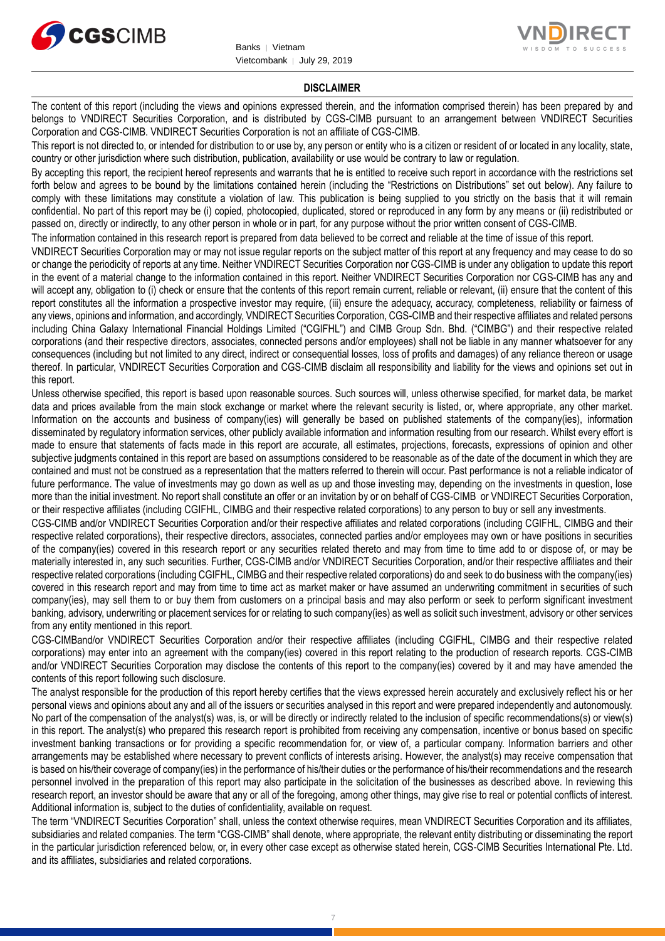



#### **DISCLAIMER**

The content of this report (including the views and opinions expressed therein, and the information comprised therein) has been prepared by and belongs to VNDIRECT Securities Corporation, and is distributed by CGS-CIMB pursuant to an arrangement between VNDIRECT Securities Corporation and CGS-CIMB. VNDIRECT Securities Corporation is not an affiliate of CGS-CIMB.

This report is not directed to, or intended for distribution to or use by, any person or entity who is a citizen or resident of or located in any locality, state, country or other jurisdiction where such distribution, publication, availability or use would be contrary to law or regulation.

By accepting this report, the recipient hereof represents and warrants that he is entitled to receive such report in accordance with the restrictions set forth below and agrees to be bound by the limitations contained herein (including the "Restrictions on Distributions" set out below). Any failure to comply with these limitations may constitute a violation of law. This publication is being supplied to you strictly on the basis that it will remain confidential. No part of this report may be (i) copied, photocopied, duplicated, stored or reproduced in any form by any means or (ii) redistributed or passed on, directly or indirectly, to any other person in whole or in part, for any purpose without the prior written consent of CGS-CIMB.

The information contained in this research report is prepared from data believed to be correct and reliable at the time of issue of this report.

VNDIRECT Securities Corporation may or may not issue regular reports on the subject matter of this report at any frequency and may cease to do so or change the periodicity of reports at any time. Neither VNDIRECT Securities Corporation nor CGS-CIMB is under any obligation to update this report in the event of a material change to the information contained in this report. Neither VNDIRECT Securities Corporation nor CGS-CIMB has any and will accept any, obligation to (i) check or ensure that the contents of this report remain current, reliable or relevant, (ii) ensure that the content of this report constitutes all the information a prospective investor may require, (iii) ensure the adequacy, accuracy, completeness, reliability or fairness of any views, opinions and information, and accordingly, VNDIRECT Securities Corporation, CGS-CIMB and their respective affiliates and related persons including China Galaxy International Financial Holdings Limited ("CGIFHL") and CIMB Group Sdn. Bhd. ("CIMBG") and their respective related corporations (and their respective directors, associates, connected persons and/or employees) shall not be liable in any manner whatsoever for any consequences (including but not limited to any direct, indirect or consequential losses, loss of profits and damages) of any reliance thereon or usage thereof. In particular, VNDIRECT Securities Corporation and CGS-CIMB disclaim all responsibility and liability for the views and opinions set out in this report.

Unless otherwise specified, this report is based upon reasonable sources. Such sources will, unless otherwise specified, for market data, be market data and prices available from the main stock exchange or market where the relevant security is listed, or, where appropriate, any other market. Information on the accounts and business of company(ies) will generally be based on published statements of the company(ies), information disseminated by regulatory information services, other publicly available information and information resulting from our research. Whilst every effort is made to ensure that statements of facts made in this report are accurate, all estimates, projections, forecasts, expressions of opinion and other subjective judgments contained in this report are based on assumptions considered to be reasonable as of the date of the document in which they are contained and must not be construed as a representation that the matters referred to therein will occur. Past performance is not a reliable indicator of future performance. The value of investments may go down as well as up and those investing may, depending on the investments in question, lose more than the initial investment. No report shall constitute an offer or an invitation by or on behalf of CGS-CIMB or VNDIRECT Securities Corporation, or their respective affiliates (including CGIFHL, CIMBG and their respective related corporations) to any person to buy or sell any investments.

CGS-CIMB and/or VNDIRECT Securities Corporation and/or their respective affiliates and related corporations (including CGIFHL, CIMBG and their respective related corporations), their respective directors, associates, connected parties and/or employees may own or have positions in securities of the company(ies) covered in this research report or any securities related thereto and may from time to time add to or dispose of, or may be materially interested in, any such securities. Further, CGS-CIMB and/or VNDIRECT Securities Corporation, and/or their respective affiliates and their respective related corporations (including CGIFHL, CIMBG and their respective related corporations) do and seek to do business with the company(ies) covered in this research report and may from time to time act as market maker or have assumed an underwriting commitment in securities of such company(ies), may sell them to or buy them from customers on a principal basis and may also perform or seek to perform significant investment banking, advisory, underwriting or placement services for or relating to such company(ies) as well as solicit such investment, advisory or other services from any entity mentioned in this report.

CGS-CIMBand/or VNDIRECT Securities Corporation and/or their respective affiliates (including CGIFHL, CIMBG and their respective related corporations) may enter into an agreement with the company(ies) covered in this report relating to the production of research reports. CGS-CIMB and/or VNDIRECT Securities Corporation may disclose the contents of this report to the company(ies) covered by it and may have amended the contents of this report following such disclosure.

The analyst responsible for the production of this report hereby certifies that the views expressed herein accurately and exclusively reflect his or her personal views and opinions about any and all of the issuers or securities analysed in this report and were prepared independently and autonomously. No part of the compensation of the analyst(s) was, is, or will be directly or indirectly related to the inclusion of specific recommendations(s) or view(s) in this report. The analyst(s) who prepared this research report is prohibited from receiving any compensation, incentive or bonus based on specific investment banking transactions or for providing a specific recommendation for, or view of, a particular company. Information barriers and other arrangements may be established where necessary to prevent conflicts of interests arising. However, the analyst(s) may receive compensation that is based on his/their coverage of company(ies) in the performance of his/their duties or the performance of his/their recommendations and the research personnel involved in the preparation of this report may also participate in the solicitation of the businesses as described above. In reviewing this research report, an investor should be aware that any or all of the foregoing, among other things, may give rise to real or potential conflicts of interest. Additional information is, subject to the duties of confidentiality, available on request.

The term "VNDIRECT Securities Corporation" shall, unless the context otherwise requires, mean VNDIRECT Securities Corporation and its affiliates, subsidiaries and related companies. The term "CGS-CIMB" shall denote, where appropriate, the relevant entity distributing or disseminating the report in the particular jurisdiction referenced below, or, in every other case except as otherwise stated herein, CGS-CIMB Securities International Pte. Ltd. and its affiliates, subsidiaries and related corporations.

7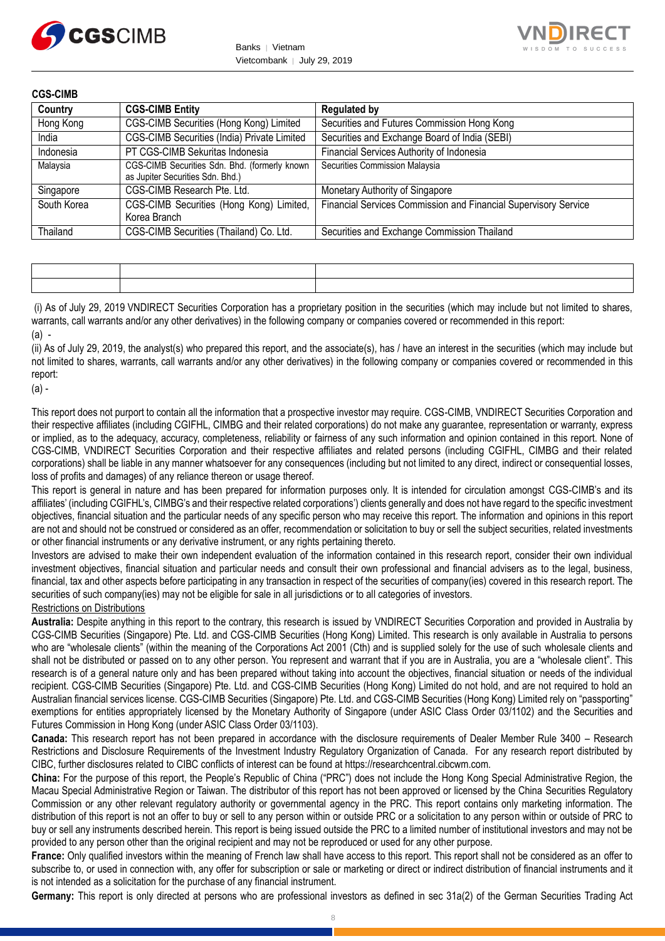



| Country     | <b>CGS-CIMB Entity</b>                                                            | <b>Regulated by</b>                                             |
|-------------|-----------------------------------------------------------------------------------|-----------------------------------------------------------------|
| Hong Kong   | CGS-CIMB Securities (Hong Kong) Limited                                           | Securities and Futures Commission Hong Kong                     |
| India       | CGS-CIMB Securities (India) Private Limited                                       | Securities and Exchange Board of India (SEBI)                   |
| Indonesia   | PT CGS-CIMB Sekuritas Indonesia                                                   | Financial Services Authority of Indonesia                       |
| Malaysia    | CGS-CIMB Securities Sdn. Bhd. (formerly known<br>as Jupiter Securities Sdn. Bhd.) | Securities Commission Malaysia                                  |
| Singapore   | CGS-CIMB Research Pte. Ltd.                                                       | Monetary Authority of Singapore                                 |
| South Korea | CGS-CIMB Securities (Hong Kong) Limited,<br>Korea Branch                          | Financial Services Commission and Financial Supervisory Service |
| Thailand    | CGS-CIMB Securities (Thailand) Co. Ltd.                                           | Securities and Exchange Commission Thailand                     |

(i) As of July 29, 2019 VNDIRECT Securities Corporation has a proprietary position in the securities (which may include but not limited to shares, warrants, call warrants and/or any other derivatives) in the following company or companies covered or recommended in this report:  $(a)$  -

(ii) As of July 29, 2019, the analyst(s) who prepared this report, and the associate(s), has / have an interest in the securities (which may include but not limited to shares, warrants, call warrants and/or any other derivatives) in the following company or companies covered or recommended in this report:

(a) -

This report does not purport to contain all the information that a prospective investor may require. CGS-CIMB, VNDIRECT Securities Corporation and their respective affiliates (including CGIFHL, CIMBG and their related corporations) do not make any guarantee, representation or warranty, express or implied, as to the adequacy, accuracy, completeness, reliability or fairness of any such information and opinion contained in this report. None of CGS-CIMB, VNDIRECT Securities Corporation and their respective affiliates and related persons (including CGIFHL, CIMBG and their related corporations) shall be liable in any manner whatsoever for any consequences (including but not limited to any direct, indirect or consequential losses, loss of profits and damages) of any reliance thereon or usage thereof.

This report is general in nature and has been prepared for information purposes only. It is intended for circulation amongst CGS-CIMB's and its affiliates' (including CGIFHL's, CIMBG's and their respective related corporations') clients generally and does not have regard to the specific investment objectives, financial situation and the particular needs of any specific person who may receive this report. The information and opinions in this report are not and should not be construed or considered as an offer, recommendation or solicitation to buy or sell the subject securities, related investments or other financial instruments or any derivative instrument, or any rights pertaining thereto.

Investors are advised to make their own independent evaluation of the information contained in this research report, consider their own individual investment objectives, financial situation and particular needs and consult their own professional and financial advisers as to the legal, business, financial, tax and other aspects before participating in any transaction in respect of the securities of company(ies) covered in this research report. The securities of such company(ies) may not be eligible for sale in all jurisdictions or to all categories of investors.

#### Restrictions on Distributions

**Australia:** Despite anything in this report to the contrary, this research is issued by VNDIRECT Securities Corporation and provided in Australia by CGS-CIMB Securities (Singapore) Pte. Ltd. and CGS-CIMB Securities (Hong Kong) Limited. This research is only available in Australia to persons who are "wholesale clients" (within the meaning of the Corporations Act 2001 (Cth) and is supplied solely for the use of such wholesale clients and shall not be distributed or passed on to any other person. You represent and warrant that if you are in Australia, you are a "wholesale client". This research is of a general nature only and has been prepared without taking into account the objectives, financial situation or needs of the individual recipient. CGS-CIMB Securities (Singapore) Pte. Ltd. and CGS-CIMB Securities (Hong Kong) Limited do not hold, and are not required to hold an Australian financial services license. CGS-CIMB Securities (Singapore) Pte. Ltd. and CGS-CIMB Securities (Hong Kong) Limited rely on "passporting" exemptions for entities appropriately licensed by the Monetary Authority of Singapore (under ASIC Class Order 03/1102) and the Securities and Futures Commission in Hong Kong (under ASIC Class Order 03/1103).

**Canada:** This research report has not been prepared in accordance with the disclosure requirements of Dealer Member Rule 3400 – Research Restrictions and Disclosure Requirements of the Investment Industry Regulatory Organization of Canada. For any research report distributed by CIBC, further disclosures related to CIBC conflicts of interest can be found at https://researchcentral.cibcwm.com.

**China:** For the purpose of this report, the People's Republic of China ("PRC") does not include the Hong Kong Special Administrative Region, the Macau Special Administrative Region or Taiwan. The distributor of this report has not been approved or licensed by the China Securities Regulatory Commission or any other relevant regulatory authority or governmental agency in the PRC. This report contains only marketing information. The distribution of this report is not an offer to buy or sell to any person within or outside PRC or a solicitation to any person within or outside of PRC to buy or sell any instruments described herein. This report is being issued outside the PRC to a limited number of institutional investors and may not be provided to any person other than the original recipient and may not be reproduced or used for any other purpose.

**France:** Only qualified investors within the meaning of French law shall have access to this report. This report shall not be considered as an offer to subscribe to, or used in connection with, any offer for subscription or sale or marketing or direct or indirect distribution of financial instruments and it is not intended as a solicitation for the purchase of any financial instrument.

**Germany:** This report is only directed at persons who are professional investors as defined in sec 31a(2) of the German Securities Trading Act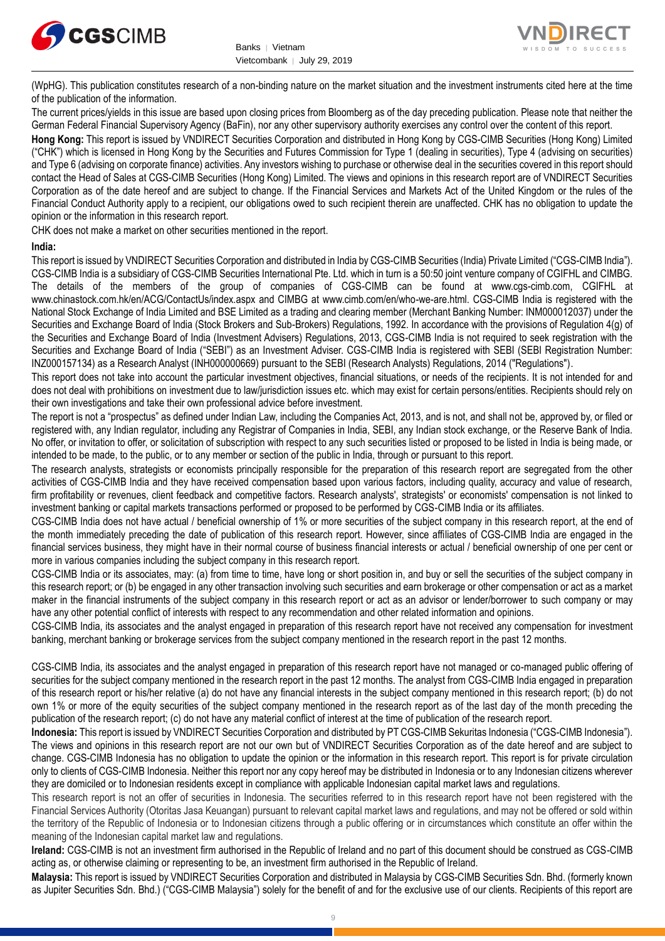



(WpHG). This publication constitutes research of a non-binding nature on the market situation and the investment instruments cited here at the time of the publication of the information.

The current prices/yields in this issue are based upon closing prices from Bloomberg as of the day preceding publication. Please note that neither the German Federal Financial Supervisory Agency (BaFin), nor any other supervisory authority exercises any control over the content of this report.

**Hong Kong:** This report is issued by VNDIRECT Securities Corporation and distributed in Hong Kong by CGS-CIMB Securities (Hong Kong) Limited ("CHK") which is licensed in Hong Kong by the Securities and Futures Commission for Type 1 (dealing in securities), Type 4 (advising on securities) and Type 6 (advising on corporate finance) activities. Any investors wishing to purchase or otherwise deal in the securities covered in this report should contact the Head of Sales at CGS-CIMB Securities (Hong Kong) Limited. The views and opinions in this research report are of VNDIRECT Securities Corporation as of the date hereof and are subject to change. If the Financial Services and Markets Act of the United Kingdom or the rules of the Financial Conduct Authority apply to a recipient, our obligations owed to such recipient therein are unaffected. CHK has no obligation to update the opinion or the information in this research report.

CHK does not make a market on other securities mentioned in the report.

#### **India:**

This report is issued by VNDIRECT Securities Corporation and distributed in India by CGS-CIMB Securities (India) Private Limited ("CGS-CIMB India"). CGS-CIMB India is a subsidiary of CGS-CIMB Securities International Pte. Ltd. which in turn is a 50:50 joint venture company of CGIFHL and CIMBG. The details of the members of the group of companies of CGS-CIMB can be found at www.cgs-cimb.com, CGIFHL at www.chinastock.com.hk/en/ACG/ContactUs/index.aspx and CIMBG at www.cimb.com/en/who-we-are.html. CGS-CIMB India is registered with the National Stock Exchange of India Limited and BSE Limited as a trading and clearing member (Merchant Banking Number: INM000012037) under the Securities and Exchange Board of India (Stock Brokers and Sub-Brokers) Regulations, 1992. In accordance with the provisions of Regulation 4(g) of the Securities and Exchange Board of India (Investment Advisers) Regulations, 2013, CGS-CIMB India is not required to seek registration with the Securities and Exchange Board of India ("SEBI") as an Investment Adviser. CGS-CIMB India is registered with SEBI (SEBI Registration Number: INZ000157134) as a Research Analyst (INH000000669) pursuant to the SEBI (Research Analysts) Regulations, 2014 ("Regulations").

This report does not take into account the particular investment objectives, financial situations, or needs of the recipients. It is not intended for and does not deal with prohibitions on investment due to law/jurisdiction issues etc. which may exist for certain persons/entities. Recipients should rely on their own investigations and take their own professional advice before investment.

The report is not a "prospectus" as defined under Indian Law, including the Companies Act, 2013, and is not, and shall not be, approved by, or filed or registered with, any Indian regulator, including any Registrar of Companies in India, SEBI, any Indian stock exchange, or the Reserve Bank of India. No offer, or invitation to offer, or solicitation of subscription with respect to any such securities listed or proposed to be listed in India is being made, or intended to be made, to the public, or to any member or section of the public in India, through or pursuant to this report.

The research analysts, strategists or economists principally responsible for the preparation of this research report are segregated from the other activities of CGS-CIMB India and they have received compensation based upon various factors, including quality, accuracy and value of research, firm profitability or revenues, client feedback and competitive factors. Research analysts', strategists' or economists' compensation is not linked to investment banking or capital markets transactions performed or proposed to be performed by CGS-CIMB India or its affiliates.

CGS-CIMB India does not have actual / beneficial ownership of 1% or more securities of the subject company in this research report, at the end of the month immediately preceding the date of publication of this research report. However, since affiliates of CGS-CIMB India are engaged in the financial services business, they might have in their normal course of business financial interests or actual / beneficial ownership of one per cent or more in various companies including the subject company in this research report.

CGS-CIMB India or its associates, may: (a) from time to time, have long or short position in, and buy or sell the securities of the subject company in this research report; or (b) be engaged in any other transaction involving such securities and earn brokerage or other compensation or act as a market maker in the financial instruments of the subject company in this research report or act as an advisor or lender/borrower to such company or may have any other potential conflict of interests with respect to any recommendation and other related information and opinions.

CGS-CIMB India, its associates and the analyst engaged in preparation of this research report have not received any compensation for investment banking, merchant banking or brokerage services from the subject company mentioned in the research report in the past 12 months.

CGS-CIMB India, its associates and the analyst engaged in preparation of this research report have not managed or co-managed public offering of securities for the subject company mentioned in the research report in the past 12 months. The analyst from CGS-CIMB India engaged in preparation of this research report or his/her relative (a) do not have any financial interests in the subject company mentioned in this research report; (b) do not own 1% or more of the equity securities of the subject company mentioned in the research report as of the last day of the month preceding the publication of the research report; (c) do not have any material conflict of interest at the time of publication of the research report.

**Indonesia:** This report is issued by VNDIRECT Securities Corporation and distributed by PT CGS-CIMB Sekuritas Indonesia ("CGS-CIMB Indonesia"). The views and opinions in this research report are not our own but of VNDIRECT Securities Corporation as of the date hereof and are subject to change. CGS-CIMB Indonesia has no obligation to update the opinion or the information in this research report. This report is for private circulation only to clients of CGS-CIMB Indonesia. Neither this report nor any copy hereof may be distributed in Indonesia or to any Indonesian citizens wherever they are domiciled or to Indonesian residents except in compliance with applicable Indonesian capital market laws and regulations.

This research report is not an offer of securities in Indonesia. The securities referred to in this research report have not been registered with the Financial Services Authority (Otoritas Jasa Keuangan) pursuant to relevant capital market laws and regulations, and may not be offered or sold within the territory of the Republic of Indonesia or to Indonesian citizens through a public offering or in circumstances which constitute an offer within the meaning of the Indonesian capital market law and regulations.

**Ireland:** CGS-CIMB is not an investment firm authorised in the Republic of Ireland and no part of this document should be construed as CGS-CIMB acting as, or otherwise claiming or representing to be, an investment firm authorised in the Republic of Ireland.

**Malaysia:** This report is issued by VNDIRECT Securities Corporation and distributed in Malaysia by CGS-CIMB Securities Sdn. Bhd. (formerly known as Jupiter Securities Sdn. Bhd.) ("CGS-CIMB Malaysia") solely for the benefit of and for the exclusive use of our clients. Recipients of this report are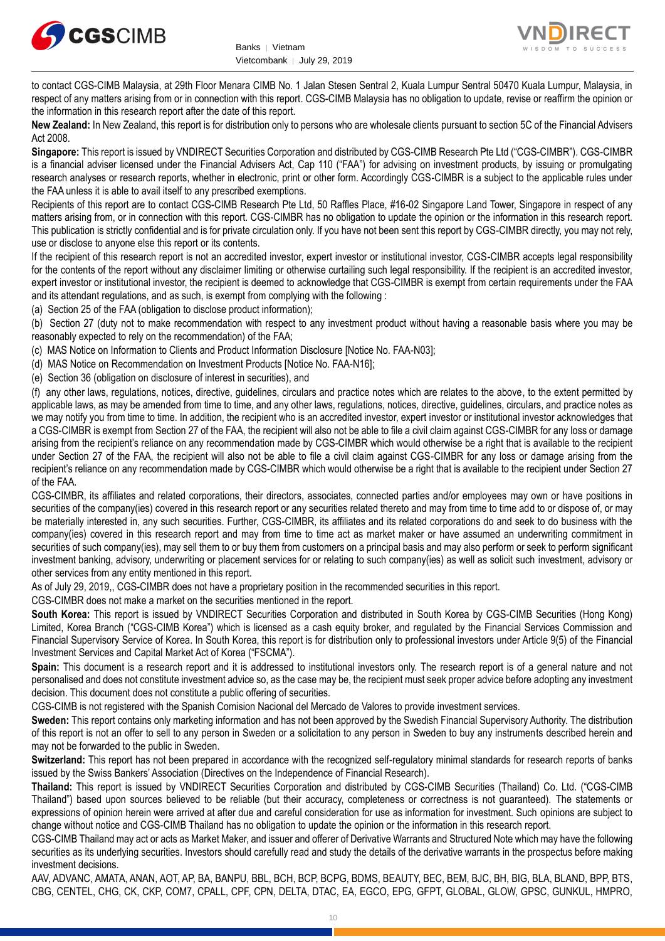



to contact CGS-CIMB Malaysia, at 29th Floor Menara CIMB No. 1 Jalan Stesen Sentral 2, Kuala Lumpur Sentral 50470 Kuala Lumpur, Malaysia, in respect of any matters arising from or in connection with this report. CGS-CIMB Malaysia has no obligation to update, revise or reaffirm the opinion or the information in this research report after the date of this report.

**New Zealand:** In New Zealand, this report is for distribution only to persons who are wholesale clients pursuant to section 5C of the Financial Advisers Act 2008.

**Singapore:** This report is issued by VNDIRECT Securities Corporation and distributed by CGS-CIMB Research Pte Ltd ("CGS-CIMBR"). CGS-CIMBR is a financial adviser licensed under the Financial Advisers Act, Cap 110 ("FAA") for advising on investment products, by issuing or promulgating research analyses or research reports, whether in electronic, print or other form. Accordingly CGS-CIMBR is a subject to the applicable rules under the FAA unless it is able to avail itself to any prescribed exemptions.

Recipients of this report are to contact CGS-CIMB Research Pte Ltd, 50 Raffles Place, #16-02 Singapore Land Tower, Singapore in respect of any matters arising from, or in connection with this report. CGS-CIMBR has no obligation to update the opinion or the information in this research report. This publication is strictly confidential and is for private circulation only. If you have not been sent this report by CGS-CIMBR directly, you may not rely, use or disclose to anyone else this report or its contents.

If the recipient of this research report is not an accredited investor, expert investor or institutional investor, CGS-CIMBR accepts legal responsibility for the contents of the report without any disclaimer limiting or otherwise curtailing such legal responsibility. If the recipient is an accredited investor, expert investor or institutional investor, the recipient is deemed to acknowledge that CGS-CIMBR is exempt from certain requirements under the FAA and its attendant regulations, and as such, is exempt from complying with the following :

(a) Section 25 of the FAA (obligation to disclose product information);

(b) Section 27 (duty not to make recommendation with respect to any investment product without having a reasonable basis where you may be reasonably expected to rely on the recommendation) of the FAA;

(c) MAS Notice on Information to Clients and Product Information Disclosure [Notice No. FAA-N03];

(d) MAS Notice on Recommendation on Investment Products [Notice No. FAA-N16];

(e) Section 36 (obligation on disclosure of interest in securities), and

(f) any other laws, regulations, notices, directive, guidelines, circulars and practice notes which are relates to the above, to the extent permitted by applicable laws, as may be amended from time to time, and any other laws, regulations, notices, directive, guidelines, circulars, and practice notes as we may notify you from time to time. In addition, the recipient who is an accredited investor, expert investor or institutional investor acknowledges that a CGS-CIMBR is exempt from Section 27 of the FAA, the recipient will also not be able to file a civil claim against CGS-CIMBR for any loss or damage arising from the recipient's reliance on any recommendation made by CGS-CIMBR which would otherwise be a right that is available to the recipient under Section 27 of the FAA, the recipient will also not be able to file a civil claim against CGS-CIMBR for any loss or damage arising from the recipient's reliance on any recommendation made by CGS-CIMBR which would otherwise be a right that is available to the recipient under Section 27 of the FAA.

CGS-CIMBR, its affiliates and related corporations, their directors, associates, connected parties and/or employees may own or have positions in securities of the company(ies) covered in this research report or any securities related thereto and may from time to time add to or dispose of, or may be materially interested in, any such securities. Further, CGS-CIMBR, its affiliates and its related corporations do and seek to do business with the company(ies) covered in this research report and may from time to time act as market maker or have assumed an underwriting commitment in securities of such company(ies), may sell them to or buy them from customers on a principal basis and may also perform or seek to perform significant investment banking, advisory, underwriting or placement services for or relating to such company(ies) as well as solicit such investment, advisory or other services from any entity mentioned in this report.

As of July 29, 2019,, CGS-CIMBR does not have a proprietary position in the recommended securities in this report.

CGS-CIMBR does not make a market on the securities mentioned in the report.

**South Korea:** This report is issued by VNDIRECT Securities Corporation and distributed in South Korea by CGS-CIMB Securities (Hong Kong) Limited, Korea Branch ("CGS-CIMB Korea") which is licensed as a cash equity broker, and regulated by the Financial Services Commission and Financial Supervisory Service of Korea. In South Korea, this report is for distribution only to professional investors under Article 9(5) of the Financial Investment Services and Capital Market Act of Korea ("FSCMA").

**Spain:** This document is a research report and it is addressed to institutional investors only. The research report is of a general nature and not personalised and does not constitute investment advice so, as the case may be, the recipient must seek proper advice before adopting any investment decision. This document does not constitute a public offering of securities.

CGS-CIMB is not registered with the Spanish Comision Nacional del Mercado de Valores to provide investment services.

**Sweden:** This report contains only marketing information and has not been approved by the Swedish Financial Supervisory Authority. The distribution of this report is not an offer to sell to any person in Sweden or a solicitation to any person in Sweden to buy any instruments described herein and may not be forwarded to the public in Sweden.

**Switzerland:** This report has not been prepared in accordance with the recognized self-regulatory minimal standards for research reports of banks issued by the Swiss Bankers' Association (Directives on the Independence of Financial Research).

**Thailand:** This report is issued by VNDIRECT Securities Corporation and distributed by CGS-CIMB Securities (Thailand) Co. Ltd. ("CGS-CIMB Thailand") based upon sources believed to be reliable (but their accuracy, completeness or correctness is not guaranteed). The statements or expressions of opinion herein were arrived at after due and careful consideration for use as information for investment. Such opinions are subject to change without notice and CGS-CIMB Thailand has no obligation to update the opinion or the information in this research report.

CGS-CIMB Thailand may act or acts as Market Maker, and issuer and offerer of Derivative Warrants and Structured Note which may have the following securities as its underlying securities. Investors should carefully read and study the details of the derivative warrants in the prospectus before making investment decisions.

AAV, ADVANC, AMATA, ANAN, AOT, AP, BA, BANPU, BBL, BCH, BCP, BCPG, BDMS, BEAUTY, BEC, BEM, BJC, BH, BIG, BLA, BLAND, BPP, BTS, CBG, CENTEL, CHG, CK, CKP, COM7, CPALL, CPF, CPN, DELTA, DTAC, EA, EGCO, EPG, GFPT, GLOBAL, GLOW, GPSC, GUNKUL, HMPRO,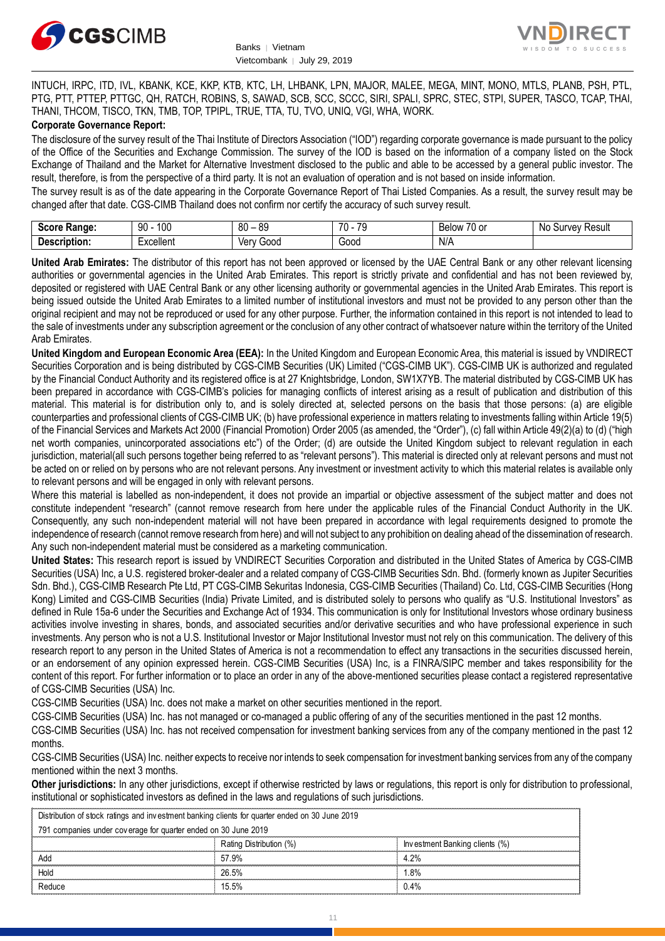



INTUCH, IRPC, ITD, IVL, KBANK, KCE, KKP, KTB, KTC, LH, LHBANK, LPN, MAJOR, MALEE, MEGA, MINT, MONO, MTLS, PLANB, PSH, PTL, PTG, PTT, PTTEP, PTTGC, QH, RATCH, ROBINS, S, SAWAD, SCB, SCC, SCCC, SIRI, SPALI, SPRC, STEC, STPI, SUPER, TASCO, TCAP, THAI, THANI, THCOM, TISCO, TKN, TMB, TOP, TPIPL, TRUE, TTA, TU, TVO, UNIQ, VGI, WHA, WORK.

#### **Corporate Governance Report:**

The disclosure of the survey result of the Thai Institute of Directors Association ("IOD") regarding corporate governance is made pursuant to the policy of the Office of the Securities and Exchange Commission. The survey of the IOD is based on the information of a company listed on the Stock Exchange of Thailand and the Market for Alternative Investment disclosed to the public and able to be accessed by a general public investor. The result, therefore, is from the perspective of a third party. It is not an evaluation of operation and is not based on inside information.

The survey result is as of the date appearing in the Corporate Governance Report of Thai Listed Companies. As a result, the survey result may be changed after that date. CGS-CIMB Thailand does not confirm nor certify the accuracy of such survey result.

| <b>CAAPA</b><br><b>Range:</b><br>. | 100<br>۵N<br>טע<br>ĴU | . RC<br>80       | $\overline{\phantom{a}}$<br>$\overline{\phantom{a}}$<br>$\cdot$ | $\overline{\phantom{a}}$<br>$\sim$<br>RAIMM<br><b>DEIOV</b><br>ו טע | N0<br>Result<br>urvey. |
|------------------------------------|-----------------------|------------------|-----------------------------------------------------------------|---------------------------------------------------------------------|------------------------|
| <b>Descrip</b><br>ription.         | Excellent             | 000ز<br>ver<br>v | Good                                                            | $N/\sim$                                                            |                        |

**United Arab Emirates:** The distributor of this report has not been approved or licensed by the UAE Central Bank or any other relevant licensing authorities or governmental agencies in the United Arab Emirates. This report is strictly private and confidential and has not been reviewed by, deposited or registered with UAE Central Bank or any other licensing authority or governmental agencies in the United Arab Emirates. This report is being issued outside the United Arab Emirates to a limited number of institutional investors and must not be provided to any person other than the original recipient and may not be reproduced or used for any other purpose. Further, the information contained in this report is not intended to lead to the sale of investments under any subscription agreement or the conclusion of any other contract of whatsoever nature within the territory of the United Arab Emirates.

**United Kingdom and European Economic Area (EEA):** In the United Kingdom and European Economic Area, this material is issued by VNDIRECT Securities Corporation and is being distributed by CGS-CIMB Securities (UK) Limited ("CGS-CIMB UK"). CGS-CIMB UK is authorized and regulated by the Financial Conduct Authority and its registered office is at 27 Knightsbridge, London, SW1X7YB. The material distributed by CGS-CIMB UK has been prepared in accordance with CGS-CIMB's policies for managing conflicts of interest arising as a result of publication and distribution of this material. This material is for distribution only to, and is solely directed at, selected persons on the basis that those persons: (a) are eligible counterparties and professional clients of CGS-CIMB UK; (b) have professional experience in matters relating to investments falling within Article 19(5) of the Financial Services and Markets Act 2000 (Financial Promotion) Order 2005 (as amended, the "Order"), (c) fall within Article 49(2)(a) to (d) ("high net worth companies, unincorporated associations etc") of the Order; (d) are outside the United Kingdom subject to relevant regulation in each jurisdiction, material(all such persons together being referred to as "relevant persons"). This material is directed only at relevant persons and must not be acted on or relied on by persons who are not relevant persons. Any investment or investment activity to which this material relates is available only to relevant persons and will be engaged in only with relevant persons.

Where this material is labelled as non-independent, it does not provide an impartial or objective assessment of the subject matter and does not constitute independent "research" (cannot remove research from here under the applicable rules of the Financial Conduct Authority in the UK. Consequently, any such non-independent material will not have been prepared in accordance with legal requirements designed to promote the independence of research (cannot remove research from here) and will not subject to any prohibition on dealing ahead of the dissemination of research. Any such non-independent material must be considered as a marketing communication.

**United States:** This research report is issued by VNDIRECT Securities Corporation and distributed in the United States of America by CGS-CIMB Securities (USA) Inc, a U.S. registered broker-dealer and a related company of CGS-CIMB Securities Sdn. Bhd. (formerly known as Jupiter Securities Sdn. Bhd.), CGS-CIMB Research Pte Ltd, PT CGS-CIMB Sekuritas Indonesia, CGS-CIMB Securities (Thailand) Co. Ltd, CGS-CIMB Securities (Hong Kong) Limited and CGS-CIMB Securities (India) Private Limited, and is distributed solely to persons who qualify as "U.S. Institutional Investors" as defined in Rule 15a-6 under the Securities and Exchange Act of 1934. This communication is only for Institutional Investors whose ordinary business activities involve investing in shares, bonds, and associated securities and/or derivative securities and who have professional experience in such investments. Any person who is not a U.S. Institutional Investor or Major Institutional Investor must not rely on this communication. The delivery of this research report to any person in the United States of America is not a recommendation to effect any transactions in the securities discussed herein, or an endorsement of any opinion expressed herein. CGS-CIMB Securities (USA) Inc, is a FINRA/SIPC member and takes responsibility for the content of this report. For further information or to place an order in any of the above-mentioned securities please contact a registered representative of CGS-CIMB Securities (USA) Inc.

CGS-CIMB Securities (USA) Inc. does not make a market on other securities mentioned in the report.

CGS-CIMB Securities (USA) Inc. has not managed or co-managed a public offering of any of the securities mentioned in the past 12 months.

CGS-CIMB Securities (USA) Inc. has not received compensation for investment banking services from any of the company mentioned in the past 12 months.

CGS-CIMB Securities (USA) Inc. neither expects to receive nor intends to seek compensation for investment banking services from any of the company mentioned within the next 3 months.

**Other jurisdictions:** In any other jurisdictions, except if otherwise restricted by laws or regulations, this report is only for distribution to professional, institutional or sophisticated investors as defined in the laws and regulations of such jurisdictions.

Partial In the laws and regulations of such jurisdictions.<br>
Then the form of the property of the control of the control of the control of the control of the control of the control of the control of the control of the contr entioned within the next 3 months.<br> **ther jurisdictions:** In any other jurisdictions, except if otherwise restricted by lastitutional or sophisticated investors as defined in the laws and regulations of substitution of sto **ther jurisdictions:** In any other jurisdictions, except if of stitutional or sophisticated investors as defined in the law<br>Distribution of stock ratings and investment banking clients for quarter and 2019<br>791 companies un

| ------------- |        |                         |                                |
|---------------|--------|-------------------------|--------------------------------|
|               |        | Rating Distribution (%) | Investment Banking clients (%) |
|               | Add    | 57.9%                   | 4.2%                           |
|               | Hola   | 26.5%                   | .8%                            |
|               | Reduce | 15.5%                   | 0.4%                           |
|               |        |                         |                                |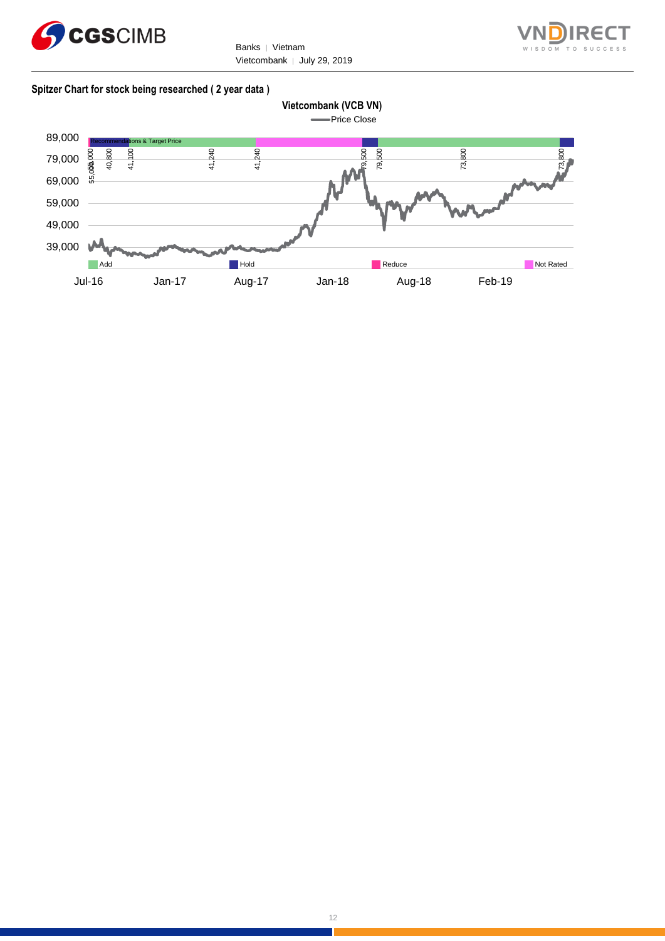

Banks | Vietnam Vietcombank │ July 29, 2019



#### **Spitzer Chart for stock being researched ( 2 year data )**

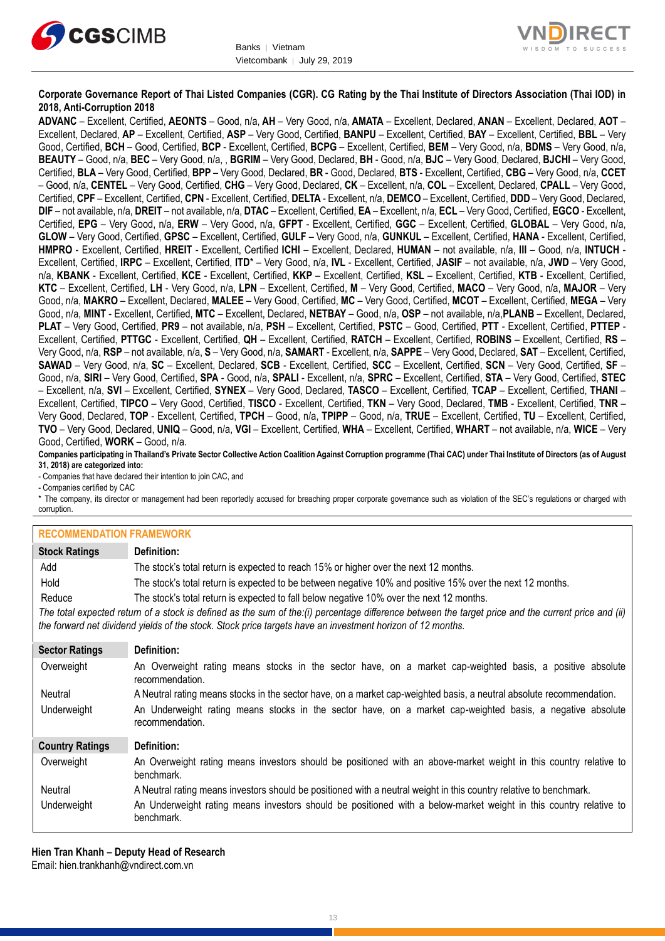



**Corporate Governance Report of Thai Listed Companies (CGR). CG Rating by the Thai Institute of Directors Association (Thai IOD) in 2018, Anti-Corruption 2018**

**ADVANC** – Excellent, Certified, **AEONTS** – Good, n/a, **AH** – Very Good, n/a, **AMATA** – Excellent, Declared, **ANAN** – Excellent, Declared, **AOT** – Excellent, Declared, **AP** – Excellent, Certified, **ASP** – Very Good, Certified, **BANPU** – Excellent, Certified, **BAY** – Excellent, Certified, **BBL** – Very Good, Certified, **BCH** – Good, Certified, **BCP** - Excellent, Certified, **BCPG** – Excellent, Certified, **BEM** – Very Good, n/a, **BDMS** – Very Good, n/a, **BEAUTY** – Good, n/a, **BEC** – Very Good, n/a, , **BGRIM** – Very Good, Declared, **BH** - Good, n/a, **BJC** – Very Good, Declared, **BJCHI** – Very Good, Certified, **BLA** – Very Good, Certified, **BPP** – Very Good, Declared, **BR** - Good, Declared, **BTS** - Excellent, Certified, **CBG** – Very Good, n/a, **CCET** – Good, n/a, **CENTEL** – Very Good, Certified, **CHG** – Very Good, Declared, **CK** – Excellent, n/a, **COL** – Excellent, Declared, **CPALL** – Very Good, Certified, **CPF** – Excellent, Certified, **CPN** - Excellent, Certified, **DELTA** - Excellent, n/a, **DEMCO** – Excellent, Certified, **DDD** – Very Good, Declared, **DIF** – not available, n/a, **DREIT** – not available, n/a, **DTAC** – Excellent, Certified, **EA** – Excellent, n/a, **ECL** – Very Good, Certified, **EGCO** - Excellent, Certified, **EPG** – Very Good, n/a, **ERW** – Very Good, n/a, **GFPT** - Excellent, Certified, **GGC** – Excellent, Certified, **GLOBAL** – Very Good, n/a, **GLOW** – Very Good, Certified, **GPSC** – Excellent, Certified, **GULF** – Very Good, n/a, **GUNKUL** – Excellent, Certified, **HANA** - Excellent, Certified, **HMPRO** - Excellent, Certified, **HREIT** - Excellent, Certified **ICHI** – Excellent, Declared, **HUMAN** – not available, n/a, **III** – Good, n/a, **INTUCH** - Excellent, Certified, **IRPC** – Excellent, Certified, **ITD**\* – Very Good, n/a, **IVL** - Excellent, Certified, **JASIF** – not available, n/a, **JWD** – Very Good, n/a, **KBANK** - Excellent, Certified, **KCE** - Excellent, Certified, **KKP** – Excellent, Certified, **KSL** – Excellent, Certified, **KTB** - Excellent, Certified, **KTC** – Excellent, Certified, **LH** - Very Good, n/a, **LPN** – Excellent, Certified, **M** – Very Good, Certified, **MACO** – Very Good, n/a, **MAJOR** – Very Good, n/a, **MAKRO** – Excellent, Declared, **MALEE** – Very Good, Certified, **MC** – Very Good, Certified, **MCOT** – Excellent, Certified, **MEGA** – Very Good, n/a, **MINT** - Excellent, Certified, **MTC** – Excellent, Declared, **NETBAY** – Good, n/a, **OSP** – not available, n/a,**PLANB** – Excellent, Declared, **PLAT** – Very Good, Certified, **PR9** – not available, n/a, **PSH** – Excellent, Certified, **PSTC** – Good, Certified, **PTT** - Excellent, Certified, **PTTEP** - Excellent, Certified, **PTTGC** - Excellent, Certified, **QH** – Excellent, Certified, **RATCH** – Excellent, Certified, **ROBINS** – Excellent, Certified, **RS** – Very Good, n/a, **RSP** – not available, n/a, **S** – Very Good, n/a, **SAMART** - Excellent, n/a, **SAPPE** – Very Good, Declared, **SAT** – Excellent, Certified, **SAWAD** – Very Good, n/a, **SC** – Excellent, Declared, **SCB** - Excellent, Certified, **SCC** – Excellent, Certified, **SCN** – Very Good, Certified, **SF** – Good, n/a, **SIRI** – Very Good, Certified, **SPA** - Good, n/a, **SPALI** - Excellent, n/a, **SPRC** – Excellent, Certified, **STA** – Very Good, Certified, **STEC** – Excellent, n/a, **SVI** – Excellent, Certified, **SYNEX** – Very Good, Declared, **TASCO** – Excellent, Certified, **TCAP** – Excellent, Certified, **THANI** – Excellent, Certified, **TIPCO** – Very Good, Certified, **TISCO** - Excellent, Certified, **TKN** – Very Good, Declared, **TMB** - Excellent, Certified, **TNR** – Very Good, Declared, **TOP** - Excellent, Certified, **TPCH** – Good, n/a, **TPIPP** – Good, n/a, **TRUE** – Excellent, Certified, **TU** – Excellent, Certified, **TVO** – Very Good, Declared, **UNIQ** – Good, n/a, **VGI** – Excellent, Certified, **WHA** – Excellent, Certified, **WHART** – not available, n/a, **WICE** – Very Good, Certified, **WORK** – Good, n/a.

**Companies participating in Thailand's Private Sector Collective Action Coalition Against Corruption programme (Thai CAC) under Thai Institute of Directors (as of August 31, 2018) are categorized into:**

- Companies that have declared their intention to join CAC, and

- Companies certified by CAC

\* The company, its director or management had been reportedly accused for breaching proper corporate governance such as violation of the SEC's regulations or charged with corruption.

#### **RECOMMENDATION FRAMEWORK**

| <b>Stock Ratings</b>   | Definition:                                                                                                                                                                                                                                                       |
|------------------------|-------------------------------------------------------------------------------------------------------------------------------------------------------------------------------------------------------------------------------------------------------------------|
| Add                    | The stock's total return is expected to reach 15% or higher over the next 12 months.                                                                                                                                                                              |
| Hold                   | The stock's total return is expected to be between negative 10% and positive 15% over the next 12 months.                                                                                                                                                         |
| Reduce                 | The stock's total return is expected to fall below negative 10% over the next 12 months.                                                                                                                                                                          |
|                        | The total expected return of a stock is defined as the sum of the:(i) percentage difference between the target price and the current price and (ii)<br>the forward net dividend yields of the stock. Stock price targets have an investment horizon of 12 months. |
| <b>Sector Ratings</b>  | Definition:                                                                                                                                                                                                                                                       |
| Overweight             | An Overweight rating means stocks in the sector have, on a market cap-weighted basis, a positive absolute<br>recommendation.                                                                                                                                      |
| Neutral                | A Neutral rating means stocks in the sector have, on a market cap-weighted basis, a neutral absolute recommendation.                                                                                                                                              |
| Underweight            | An Underweight rating means stocks in the sector have, on a market cap-weighted basis, a negative absolute<br>recommendation.                                                                                                                                     |
| <b>Country Ratings</b> | Definition:                                                                                                                                                                                                                                                       |
| Overweight             | An Overweight rating means investors should be positioned with an above-market weight in this country relative to<br>benchmark.                                                                                                                                   |
| Neutral                | A Neutral rating means investors should be positioned with a neutral weight in this country relative to benchmark.                                                                                                                                                |
| Underweight            | An Underweight rating means investors should be positioned with a below-market weight in this country relative to<br>benchmark.                                                                                                                                   |

**Hien Tran Khanh – Deputy Head of Research** Email: [hien.trankhanh@vndirect.com.vn](mailto:hien.trankhanh@vndirect.com.vn)